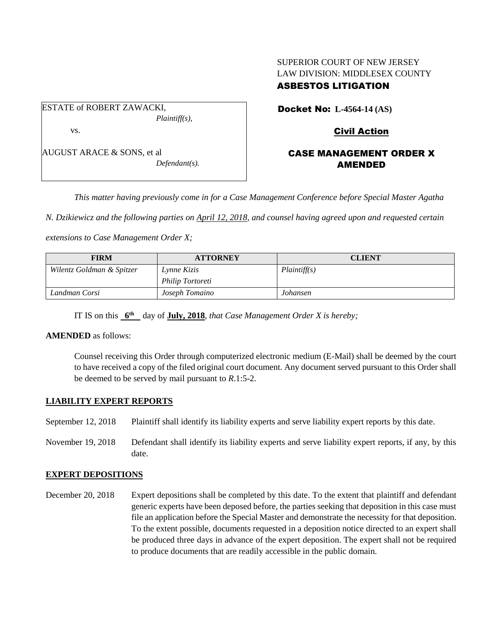## SUPERIOR COURT OF NEW JERSEY LAW DIVISION: MIDDLESEX COUNTY ASBESTOS LITIGATION

ESTATE of ROBERT ZAWACKI, *Plaintiff(s),* vs.

AUGUST ARACE & SONS, et al *Defendant(s).* Docket No: **L-4564-14 (AS)** 

## Civil Action

## CASE MANAGEMENT ORDER X AMENDED

*This matter having previously come in for a Case Management Conference before Special Master Agatha* 

*N. Dzikiewicz and the following parties on April 12, 2018, and counsel having agreed upon and requested certain* 

*extensions to Case Management Order X;*

| <b>FIRM</b>               | <b>ATTORNEY</b>  | <b>CLIENT</b> |
|---------------------------|------------------|---------------|
| Wilentz Goldman & Spitzer | Lynne Kizis      | Plaintiff(s)  |
|                           | Philip Tortoreti |               |
| Landman Corsi             | Joseph Tomaino   | Johansen      |

IT IS on this  $6^{\text{th}}$  day of **July, 2018**, *that Case Management Order X is hereby*;

#### **AMENDED** as follows:

Counsel receiving this Order through computerized electronic medium (E-Mail) shall be deemed by the court to have received a copy of the filed original court document. Any document served pursuant to this Order shall be deemed to be served by mail pursuant to *R*.1:5-2.

#### **LIABILITY EXPERT REPORTS**

September 12, 2018 Plaintiff shall identify its liability experts and serve liability expert reports by this date.

November 19, 2018 Defendant shall identify its liability experts and serve liability expert reports, if any, by this date.

#### **EXPERT DEPOSITIONS**

December 20, 2018 Expert depositions shall be completed by this date. To the extent that plaintiff and defendant generic experts have been deposed before, the parties seeking that deposition in this case must file an application before the Special Master and demonstrate the necessity for that deposition. To the extent possible, documents requested in a deposition notice directed to an expert shall be produced three days in advance of the expert deposition. The expert shall not be required to produce documents that are readily accessible in the public domain.